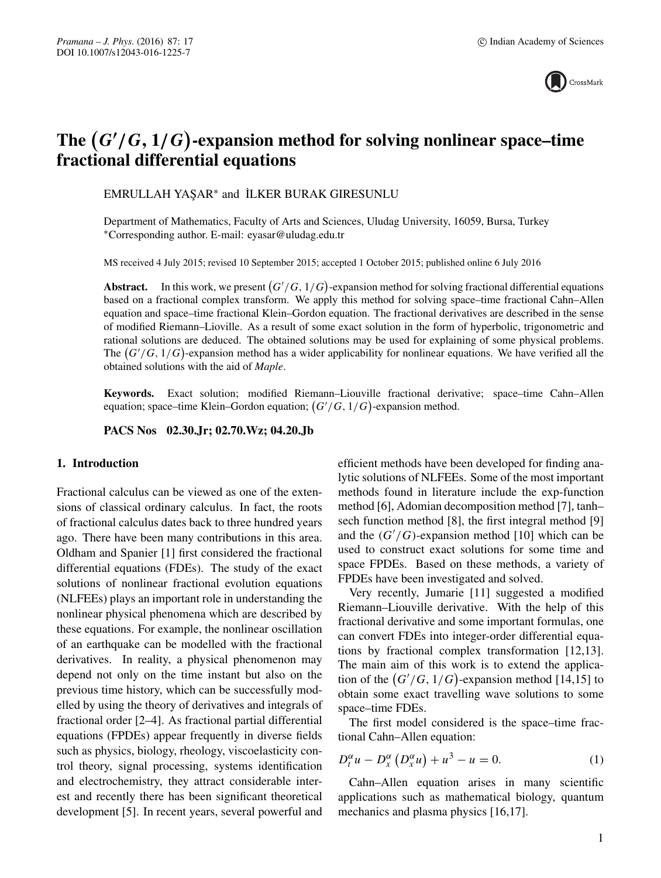

# The  $(G'/G, 1/G)$ -expansion method for solving nonlinear space–time **fractional differential equations**

EMRULLAH YAŞAR<sup>\*</sup> and İLKER BURAK GIRESUNLU

Department of Mathematics, Faculty of Arts and Sciences, Uludag University, 16059, Bursa, Turkey ∗Corresponding author. E-mail: eyasar@uludag.edu.tr

MS received 4 July 2015; revised 10 September 2015; accepted 1 October 2015; published online 6 July 2016

**Abstract.** In this work, we present  $(G'/G, 1/G)$ -expansion method for solving fractional differential equations based on a fractional complex transform. We apply this method for solving space–time fractional Cahn–Allen equation and space–time fractional Klein–Gordon equation. The fractional derivatives are described in the sense of modified Riemann–Lioville. As a result of some exact solution in the form of hyperbolic, trigonometric and rational solutions are deduced. The obtained solutions may be used for explaining of some physical problems. The  $(G'/G, 1/G)$ -expansion method has a wider applicability for nonlinear equations. We have verified all the obtained solutions with the aid of *Maple*.

**Keywords.** Exact solution; modified Riemann–Liouville fractional derivative; space–time Cahn–Allen equation; space–time Klein–Gordon equation;  $(G'/G, 1/G)$ -expansion method.

**PACS Nos 02.30.Jr; 02.70.Wz; 04.20.Jb**

#### **1. Introduction**

Fractional calculus can be viewed as one of the extensions of classical ordinary calculus. In fact, the roots of fractional calculus dates back to three hundred years ago. There have been many contributions in this area. Oldham and Spanier [1] first considered the fractional differential equations (FDEs). The study of the exact solutions of nonlinear fractional evolution equations (NLFEEs) plays an important role in understanding the nonlinear physical phenomena which are described by these equations. For example, the nonlinear oscillation of an earthquake can be modelled with the fractional derivatives. In reality, a physical phenomenon may depend not only on the time instant but also on the previous time history, which can be successfully modelled by using the theory of derivatives and integrals of fractional order [2–4]. As fractional partial differential equations (FPDEs) appear frequently in diverse fields such as physics, biology, rheology, viscoelasticity control theory, signal processing, systems identification and electrochemistry, they attract considerable interest and recently there has been significant theoretical development [5]. In recent years, several powerful and efficient methods have been developed for finding analytic solutions of NLFEEs. Some of the most important methods found in literature include the exp-function method [6], Adomian decomposition method [7], tanh– sech function method [8], the first integral method [9] and the  $(G'/G)$ -expansion method [10] which can be used to construct exact solutions for some time and space FPDEs. Based on these methods, a variety of FPDEs have been investigated and solved.

Very recently, Jumarie [11] suggested a modified Riemann–Liouville derivative. With the help of this fractional derivative and some important formulas, one can convert FDEs into integer-order differential equations by fractional complex transformation [12,13]. The main aim of this work is to extend the application of the  $(G'/G, 1/G)$ -expansion method [14,15] to obtain some exact travelling wave solutions to some space–time FDEs.

The first model considered is the space–time fractional Cahn–Allen equation:

$$
D_t^{\alpha}u - D_x^{\alpha}(D_x^{\alpha}u) + u^3 - u = 0.
$$
 (1)

Cahn–Allen equation arises in many scientific applications such as mathematical biology, quantum mechanics and plasma physics [16,17].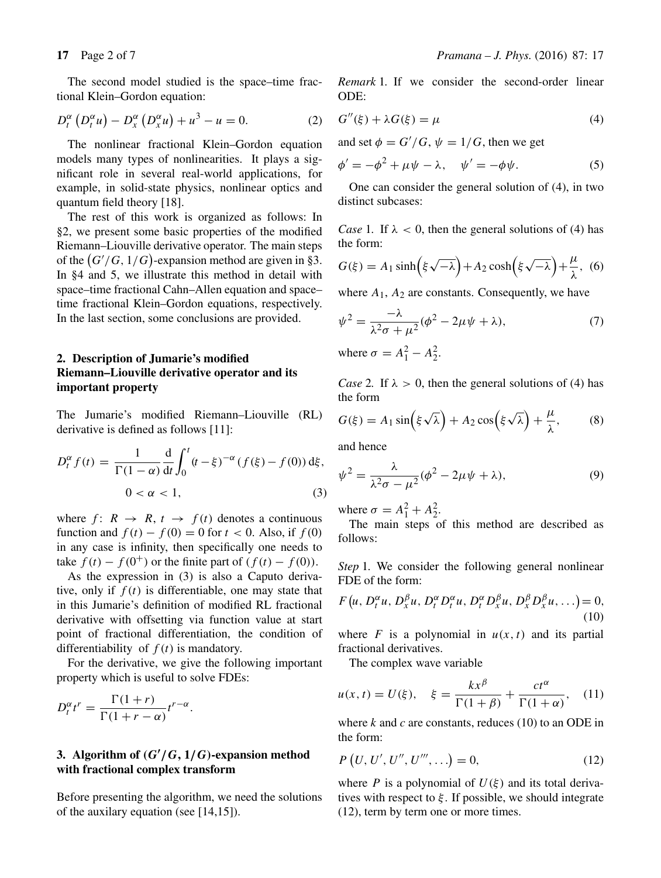$$
D_t^{\alpha} \left( D_t^{\alpha} u \right) - D_x^{\alpha} \left( D_x^{\alpha} u \right) + u^3 - u = 0. \tag{2}
$$

The nonlinear fractional Klein–Gordon equation models many types of nonlinearities. It plays a significant role in several real-world applications, for example, in solid-state physics, nonlinear optics and quantum field theory [18].

The rest of this work is organized as follows: In §2, we present some basic properties of the modified Riemann–Liouville derivative operator. The main steps of the  $(G'/G, 1/G)$ -expansion method are given in §3. In §4 and 5, we illustrate this method in detail with space–time fractional Cahn–Allen equation and space– time fractional Klein–Gordon equations, respectively. In the last section, some conclusions are provided.

## **2. Description of Jumarie's modified Riemann–Liouville derivative operator and its important property**

The Jumarie's modified Riemann–Liouville (RL) derivative is defined as follows [11]:

$$
D_t^{\alpha} f(t) = \frac{1}{\Gamma(1-\alpha)} \frac{d}{dt} \int_0^t (t-\xi)^{-\alpha} (f(\xi) - f(0)) d\xi,
$$
  
0 < \alpha < 1, (3)

where  $f: R \rightarrow R$ ,  $t \rightarrow f(t)$  denotes a continuous function and  $f(t) - f(0) = 0$  for  $t < 0$ . Also, if  $f(0)$ in any case is infinity, then specifically one needs to take  $f(t) - f(0^+)$  or the finite part of  $(f(t) - f(0))$ .

As the expression in (3) is also a Caputo derivative, only if  $f(t)$  is differentiable, one may state that in this Jumarie's definition of modified RL fractional derivative with offsetting via function value at start point of fractional differentiation, the condition of differentiability of  $f(t)$  is mandatory.

For the derivative, we give the following important property which is useful to solve FDEs:

$$
D_t^{\alpha} t^r = \frac{\Gamma(1+r)}{\Gamma(1+r-\alpha)} t^{r-\alpha}.
$$

### **3. Algorithm of** *(G***-** */G,* **1***/G)***-expansion method with fractional complex transform**

Before presenting the algorithm, we need the solutions of the auxilary equation (see [14,15]).

*Remark* 1*.* If we consider the second-order linear ODE:

$$
G''(\xi) + \lambda G(\xi) = \mu \tag{4}
$$

and set  $\phi = G'/G$ ,  $\psi = 1/G$ , then we get

$$
\phi' = -\phi^2 + \mu\psi - \lambda, \quad \psi' = -\phi\psi.
$$
 (5)

One can consider the general solution of (4), in two distinct subcases:

*Case* 1. If  $\lambda$  < 0, then the general solutions of (4) has the form:

$$
G(\xi) = A_1 \sinh\left(\xi \sqrt{-\lambda}\right) + A_2 \cosh\left(\xi \sqrt{-\lambda}\right) + \frac{\mu}{\lambda}, \tag{6}
$$

where  $A_1$ ,  $A_2$  are constants. Consequently, we have

$$
\psi^2 = \frac{-\lambda}{\lambda^2 \sigma + \mu^2} (\phi^2 - 2\mu \psi + \lambda),\tag{7}
$$

where  $\sigma = A_1^2 - A_2^2$ .

*Case* 2. If  $\lambda > 0$ , then the general solutions of (4) has the form

$$
G(\xi) = A_1 \sin\left(\xi \sqrt{\lambda}\right) + A_2 \cos\left(\xi \sqrt{\lambda}\right) + \frac{\mu}{\lambda},\qquad(8)
$$

and hence

$$
\psi^2 = \frac{\lambda}{\lambda^2 \sigma - \mu^2} (\phi^2 - 2\mu \psi + \lambda),\tag{9}
$$

where  $\sigma = A_1^2 + A_2^2$ .

The main steps of this method are described as follows:

*Step* 1. We consider the following general nonlinear FDE of the form:

$$
F(u, D_t^{\alpha}u, D_x^{\beta}u, D_t^{\alpha}D_t^{\alpha}u, D_t^{\alpha}D_x^{\beta}u, D_x^{\beta}D_x^{\beta}u, \ldots) = 0,
$$
\n(10)

where F is a polynomial in  $u(x, t)$  and its partial fractional derivatives.

The complex wave variable

$$
u(x,t) = U(\xi), \quad \xi = \frac{kx^{\beta}}{\Gamma(1+\beta)} + \frac{ct^{\alpha}}{\Gamma(1+\alpha)}, \quad (11)
$$

where k and c are constants, reduces (10) to an ODE in the form:

$$
P(U, U', U'', U''', \ldots) = 0,
$$
\n(12)

where P is a polynomial of  $U(\xi)$  and its total derivatives with respect to  $\xi$ . If possible, we should integrate (12), term by term one or more times.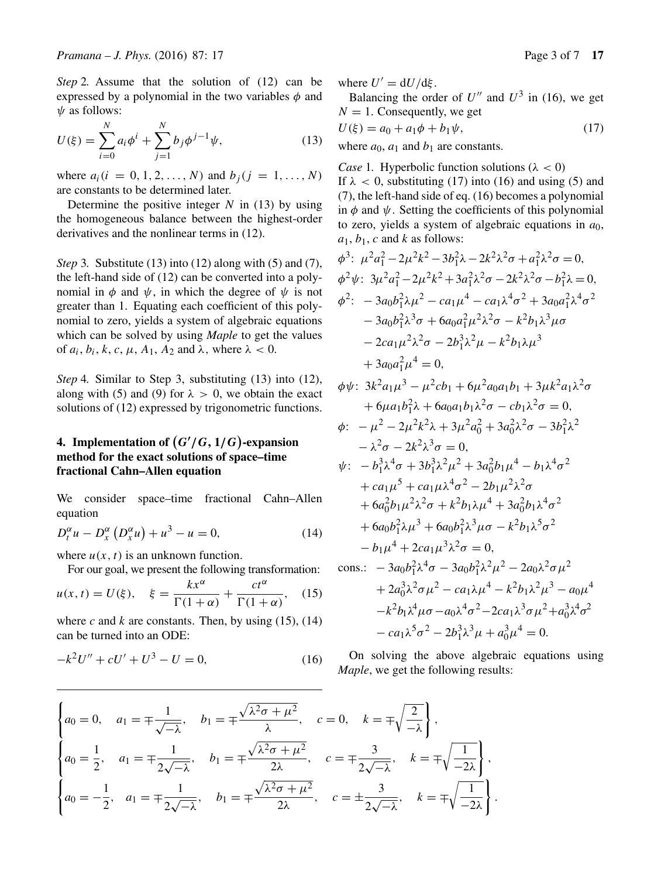*Step* 2. Assume that the solution of (12) can be expressed by a polynomial in the two variables  $\phi$  and  $\psi$  as follows:

$$
U(\xi) = \sum_{i=0}^{N} a_i \phi^i + \sum_{j=1}^{N} b_j \phi^{j-1} \psi,
$$
 (13)

where  $a_i(i = 0, 1, 2, ..., N)$  and  $b_i(j = 1, ..., N)$ are constants to be determined later.

Determine the positive integer  $N$  in (13) by using the homogeneous balance between the highest-order derivatives and the nonlinear terms in (12).

*Step* 3*.* Substitute (13) into (12) along with (5) and (7), the left-hand side of (12) can be converted into a polynomial in  $\phi$  and  $\psi$ , in which the degree of  $\psi$  is not greater than 1. Equating each coefficient of this polynomial to zero, yields a system of algebraic equations which can be solved by using *Maple* to get the values of  $a_i$ ,  $b_i$ ,  $k$ ,  $c$ ,  $\mu$ ,  $A_1$ ,  $A_2$  and  $\lambda$ , where  $\lambda$  < 0.

*Step* 4*.* Similar to Step 3, substituting (13) into (12), along with (5) and (9) for  $\lambda > 0$ , we obtain the exact solutions of (12) expressed by trigonometric functions.

# **4. Implementation of**  $(G'/G, 1/G)$ **-expansion method for the exact solutions of space–time fractional Cahn–Allen equation**

We consider space–time fractional Cahn–Allen equation

$$
D_t^{\alpha}u - D_x^{\alpha}(D_x^{\alpha}u) + u^3 - u = 0, \qquad (14)
$$

where  $u(x, t)$  is an unknown function.

For our goal, we present the following transformation:

$$
u(x,t) = U(\xi), \quad \xi = \frac{kx^{\alpha}}{\Gamma(1+\alpha)} + \frac{ct^{\alpha}}{\Gamma(1+\alpha)}, \quad (15)
$$

where  $c$  and  $k$  are constants. Then, by using (15), (14) can be turned into an ODE:

$$
-k^2U'' + cU' + U^3 - U = 0,\t(16)
$$

where  $U' = dU/d\mathcal{E}$ .

Balancing the order of  $U''$  and  $U^3$  in (16), we get  $N = 1$ . Consequently, we get

$$
U(\xi) = a_0 + a_1 \phi + b_1 \psi,
$$
 (17)

where  $a_0$ ,  $a_1$  and  $b_1$  are constants.

*Case* 1. Hyperbolic function solutions ( $\lambda < 0$ )

If  $\lambda$  < 0, substituting (17) into (16) and using (5) and (7), the left-hand side of eq. (16) becomes a polynomial in  $\phi$  and  $\psi$ . Setting the coefficients of this polynomial to zero, yields a system of algebraic equations in  $a_0$ ,  $a_1, b_1, c$  and k as follows:

$$
\phi^3: \mu^2 a_1^2 - 2\mu^2 k^2 - 3b_1^2 \lambda - 2k^2 \lambda^2 \sigma + a_1^2 \lambda^2 \sigma = 0,
$$
  
\n
$$
\phi^2 \psi: 3\mu^2 a_1^2 - 2\mu^2 k^2 + 3a_1^2 \lambda^2 \sigma - 2k^2 \lambda^2 \sigma - b_1^2 \lambda = 0,
$$
  
\n
$$
\phi^2: -3a_0 b_1^2 \lambda \mu^2 - ca_1 \mu^4 - ca_1 \lambda^4 \sigma^2 + 3a_0 a_1^2 \lambda^4 \sigma^2
$$
  
\n
$$
-3a_0 b_1^2 \lambda^3 \sigma + 6a_0 a_1^2 \mu^2 \lambda^2 \sigma - k^2 b_1 \lambda^3 \mu \sigma
$$
  
\n
$$
-2ca_1 \mu^2 \lambda^2 \sigma - 2b_1^3 \lambda^2 \mu - k^2 b_1 \lambda \mu^3
$$
  
\n
$$
+3a_0 a_1^2 \mu^4 = 0,
$$

$$
\phi\psi: 3k^2a_1\mu^3 - \mu^2cb_1 + 6\mu^2a_0a_1b_1 + 3\mu k^2a_1\lambda^2\sigma
$$
  
+ 6\mu a\_1b\_1^2\lambda + 6a\_0a\_1b\_1\lambda^2\sigma - cb\_1\lambda^2\sigma = 0,

$$
\phi: \ -\mu^2 - 2\mu^2 k^2 \lambda + 3\mu^2 a_0^2 + 3a_0^2 \lambda^2 \sigma - 3b_1^2 \lambda^2 \n- \lambda^2 \sigma - 2k^2 \lambda^3 \sigma = 0, \n\psi: \ -b_1^3 \lambda^4 \sigma + 3b_1^3 \lambda^2 \mu^2 + 3a_0^2 b_1 \mu^4 - b_1 \lambda^4 \sigma^2 \n+ c a_1 \mu^5 + c a_1 \mu \lambda^4 \sigma^2 - 2b_1 \mu^2 \lambda^2 \sigma
$$

$$
+ 6a_0^2b_1\mu^2\lambda^2\sigma + k^2b_1\lambda\mu^4 + 3a_0^2b_1\lambda^4\sigma^2 + 6a_0b_1^2\lambda\mu^3 + 6a_0b_1^2\lambda^3\mu\sigma - k^2b_1\lambda^5\sigma^2 - b_1\mu^4 + 2ca_1\mu^3\lambda^2\sigma = 0, \ncons.:  $- 3a_0b_1^2\lambda^4\sigma - 3a_0b_1^2\lambda^2\mu^2 - 2a_0\lambda^2\sigma\mu^2 + 2a_0^3\lambda^2\sigma\mu^2 - ca_1\lambda\mu^4 - k^2b_1\lambda^2\mu^3 - a_0\mu^4$
$$

$$
-k^2b_1\lambda^4\mu\sigma - a_0\lambda^4\sigma^2 - 2ca_1\lambda^3\sigma\mu^2 + a_0^3\lambda^4\sigma^2
$$

$$
-ca_1\lambda^5\sigma^2 - 2b_1^3\lambda^3\mu + a_0^3\mu^4 = 0.
$$

On solving the above algebraic equations using *Maple*, we get the following results:

$$
\begin{cases}\na_0 = 0, & a_1 = \pm \frac{1}{\sqrt{-\lambda}}, \quad b_1 = \pm \frac{\sqrt{\lambda^2 \sigma + \mu^2}}{\lambda}, \quad c = 0, \quad k = \pm \sqrt{\frac{2}{-\lambda}}\n\end{cases},
$$
\n
$$
\begin{cases}\na_0 = \frac{1}{2}, & a_1 = \pm \frac{1}{2\sqrt{-\lambda}}, \quad b_1 = \pm \frac{\sqrt{\lambda^2 \sigma + \mu^2}}{2\lambda}, \quad c = \pm \frac{3}{2\sqrt{-\lambda}}, \quad k = \pm \sqrt{\frac{1}{-2\lambda}}\n\end{cases},
$$
\n
$$
\begin{cases}\na_0 = -\frac{1}{2}, & a_1 = \pm \frac{1}{2\sqrt{-\lambda}}, \quad b_1 = \pm \frac{\sqrt{\lambda^2 \sigma + \mu^2}}{2\lambda}, \quad c = \pm \frac{3}{2\sqrt{-\lambda}}, \quad k = \pm \sqrt{\frac{1}{-2\lambda}}\n\end{cases}
$$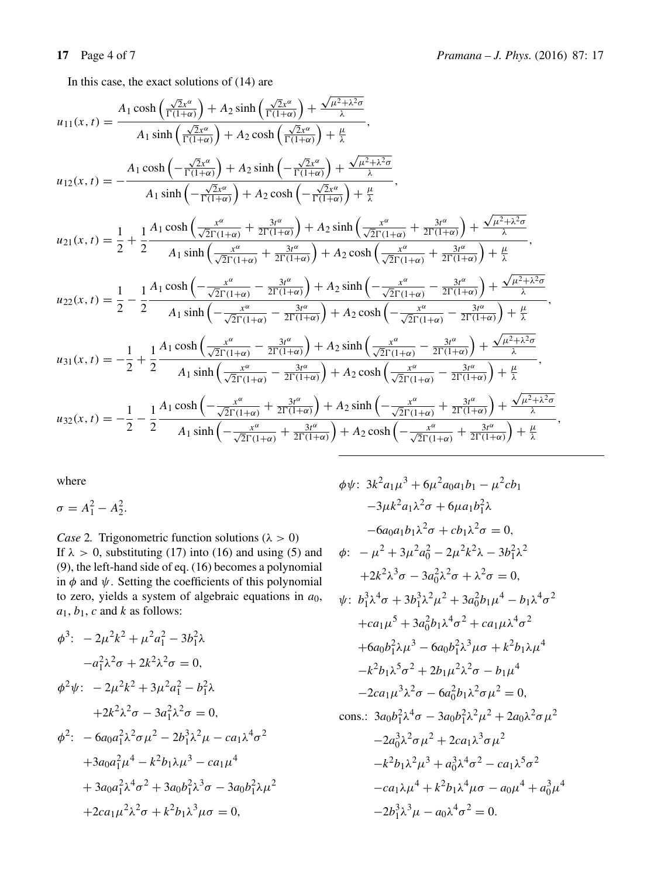In this case, the exact solutions of (14) are

$$
u_{11}(x,t) = \frac{A_1 \cosh\left(\frac{\sqrt{2}x^a}{\Gamma(1+\alpha)}\right) + A_2 \sinh\left(\frac{\sqrt{2}x^a}{\Gamma(1+\alpha)}\right) + \frac{\sqrt{\mu^2 + \lambda^2 \sigma}}{\lambda}}{A_1 \sinh\left(\frac{\sqrt{2}x^a}{\Gamma(1+\alpha)}\right) + A_2 \cosh\left(\frac{\sqrt{2}x^a}{\Gamma(1+\alpha)}\right) + \frac{\mu}{\lambda}},
$$
  
\n
$$
u_{12}(x,t) = -\frac{A_1 \cosh\left(-\frac{\sqrt{2}x^a}{\Gamma(1+\alpha)}\right) + A_2 \sinh\left(-\frac{\sqrt{2}x^a}{\Gamma(1+\alpha)}\right) + \frac{\sqrt{\mu^2 + \lambda^2 \sigma}}{\lambda}}{A_1 \sinh\left(-\frac{\sqrt{2}x^a}{\Gamma(1+\alpha)}\right) + A_2 \cosh\left(-\frac{\sqrt{2}x^a}{\Gamma(1+\alpha)}\right) + \frac{\mu}{\lambda}},
$$
  
\n
$$
u_{21}(x,t) = \frac{1}{2} + \frac{1}{2} \frac{A_1 \cosh\left(\frac{x^a}{\sqrt{2}\Gamma(1+\alpha)} + \frac{3t^a}{2\Gamma(1+\alpha)}\right) + A_2 \sinh\left(\frac{x^a}{\sqrt{2}\Gamma(1+\alpha)} + \frac{3t^a}{2\Gamma(1+\alpha)}\right) + \frac{\sqrt{\mu^2 + \lambda^2 \sigma}}{\lambda}},
$$
  
\n
$$
u_{21}(x,t) = \frac{1}{2} + \frac{1}{2} \frac{A_1 \cosh\left(\frac{x^a}{\sqrt{2}\Gamma(1+\alpha)} + \frac{3t^a}{2\Gamma(1+\alpha)}\right) + A_2 \cosh\left(\frac{x^a}{\sqrt{2}\Gamma(1+\alpha)} + \frac{3t^a}{2\Gamma(1+\alpha)}\right) + \frac{\sqrt{\mu^2 + \lambda^2 \sigma}}{\lambda}},
$$
  
\n
$$
u_{22}(x,t) = \frac{1}{2} - \frac{1}{2} \frac{A_1 \cosh\left(-\frac{x^a}{\sqrt{2}\Gamma(1+\alpha)} - \frac{3t^a}{2\Gamma(1+\alpha)}\right) + A_2 \sinh\left(-\frac{x^a}{\sqrt{2}\Gamma(1+\alpha)} - \frac{3t^a}{2
$$

where

 $\sigma = A_1^2 - A_2^2.$ 

*Case* 2. Trigonometric function solutions ( $\lambda > 0$ ) If  $\lambda > 0$ , substituting (17) into (16) and using (5) and (9), the left-hand side of eq. (16) becomes a polynomial in  $\phi$  and  $\psi$ . Setting the coefficients of this polynomial to zero, yields a system of algebraic equations in  $a_0$ ,  $a_1, b_1, c$  and k as follows:

$$
\phi^3: \ -2\mu^2 k^2 + \mu^2 a_1^2 - 3b_1^2 \lambda
$$
  
\n
$$
-a_1^2 \lambda^2 \sigma + 2k^2 \lambda^2 \sigma = 0,
$$
  
\n
$$
\phi^2 \psi: \ -2\mu^2 k^2 + 3\mu^2 a_1^2 - b_1^2 \lambda
$$
  
\n
$$
+2k^2 \lambda^2 \sigma - 3a_1^2 \lambda^2 \sigma = 0,
$$
  
\n
$$
\phi^2: \ -6a_0 a_1^2 \lambda^2 \sigma \mu^2 - 2b_1^3 \lambda^2 \mu - ca_1 \lambda^4 \sigma^2
$$
  
\n
$$
+3a_0 a_1^2 \mu^4 - k^2 b_1 \lambda \mu^3 - ca_1 \mu^4
$$
  
\n
$$
+3a_0 a_1^2 \lambda^4 \sigma^2 + 3a_0 b_1^2 \lambda^3 \sigma - 3a_0 b_1^2 \lambda \mu^2
$$
  
\n
$$
+2ca_1 \mu^2 \lambda^2 \sigma + k^2 b_1 \lambda^3 \mu \sigma = 0,
$$

$$
\phi\psi: 3k^2 a_1\mu^3 + 6\mu^2 a_0 a_1 b_1 - \mu^2 c b_1
$$
  
\n
$$
-3\mu k^2 a_1 \lambda^2 \sigma + 6\mu a_1 b_1^2 \lambda
$$
  
\n
$$
-6a_0 a_1 b_1 \lambda^2 \sigma + c b_1 \lambda^2 \sigma = 0,
$$
  
\n
$$
\phi: -\mu^2 + 3\mu^2 a_0^2 - 2\mu^2 k^2 \lambda - 3b_1^2 \lambda^2
$$
  
\n
$$
+2k^2 \lambda^3 \sigma - 3a_0^2 \lambda^2 \sigma + \lambda^2 \sigma = 0,
$$
  
\n
$$
\psi: b_1^3 \lambda^4 \sigma + 3b_1^3 \lambda^2 \mu^2 + 3a_0^2 b_1 \mu^4 - b_1 \lambda^4 \sigma^2
$$
  
\n
$$
+ca_1 \mu^5 + 3a_0^2 b_1 \lambda^4 \sigma^2 + ca_1 \mu \lambda^4 \sigma^2
$$
  
\n
$$
+6a_0 b_1^2 \lambda \mu^3 - 6a_0 b_1^2 \lambda^3 \mu \sigma + k^2 b_1 \lambda \mu^4
$$
  
\n
$$
-k^2 b_1 \lambda^5 \sigma^2 + 2b_1 \mu^2 \lambda^2 \sigma - b_1 \mu^4
$$
  
\n
$$
-2ca_1 \mu^3 \lambda^2 \sigma - 6a_0^2 b_1 \lambda^2 \sigma \mu^2 = 0,
$$
  
\ncons.:  $3a_0 b_1^2 \lambda^4 \sigma - 3a_0 b_1^2 \lambda^2 \mu^2 + 2a_0 \lambda^2 \sigma \mu^2$   
\n
$$
-2a_0^3 \lambda^2 \sigma \mu^2 + 2ca_1 \lambda^3 \sigma \mu^2
$$
  
\n
$$
-k^2 b_1 \lambda^2 \mu^3 + a_0^3 \lambda^4 \sigma^2 - ca_1 \lambda^5 \sigma^2
$$
  
\n
$$
-ca_1 \lambda \mu^4 + k^2 b_1 \lambda^4 \mu \sigma - a_0 \mu^4 + a_0^3 \mu^4
$$
  
\n
$$
-2b_1^3 \lambda^3 \mu - a_0 \lambda^4
$$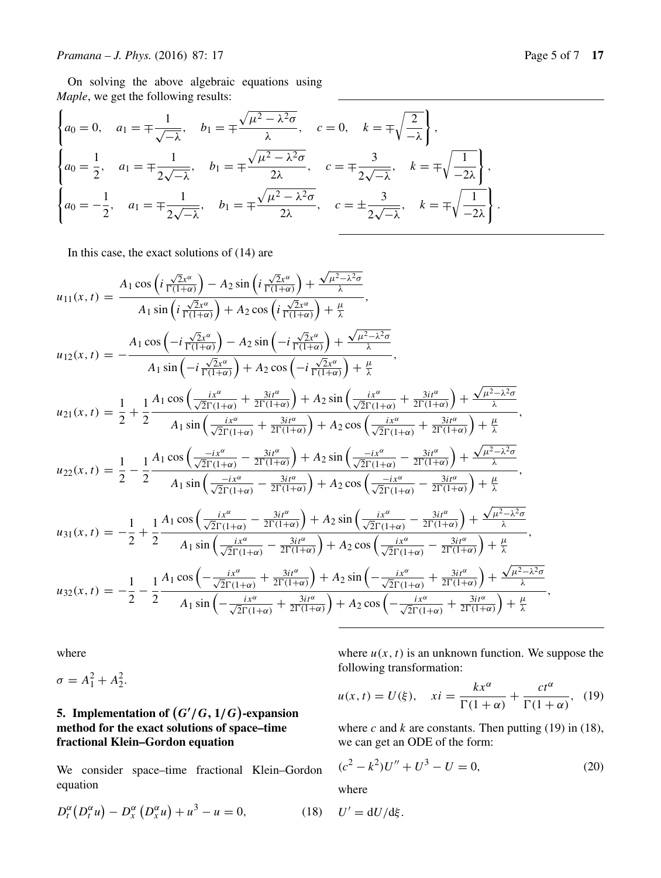On solving the above algebraic equations using *Maple*, we get the following results:

$$
\begin{cases}\na_0 = 0, & a_1 = \pm \frac{1}{\sqrt{-\lambda}}, \quad b_1 = \pm \frac{\sqrt{\mu^2 - \lambda^2 \sigma}}{\lambda}, \quad c = 0, \quad k = \pm \sqrt{\frac{2}{-\lambda}}\n\end{cases},
$$
\n
$$
\begin{cases}\na_0 = \frac{1}{2}, & a_1 = \pm \frac{1}{2\sqrt{-\lambda}}, \quad b_1 = \pm \frac{\sqrt{\mu^2 - \lambda^2 \sigma}}{2\lambda}, \quad c = \pm \frac{3}{2\sqrt{-\lambda}}, \quad k = \pm \sqrt{\frac{1}{-2\lambda}}\n\end{cases},
$$
\n
$$
\begin{cases}\na_0 = -\frac{1}{2}, & a_1 = \pm \frac{1}{2\sqrt{-\lambda}}, \quad b_1 = \pm \frac{\sqrt{\mu^2 - \lambda^2 \sigma}}{2\lambda}, \quad c = \pm \frac{3}{2\sqrt{-\lambda}}, \quad k = \pm \sqrt{\frac{1}{-2\lambda}}\n\end{cases}
$$

In this case, the exact solutions of (14) are

$$
u_{11}(x,t) = \frac{A_1 \cos\left(i\frac{\sqrt{2}x^{\alpha}}{\Gamma(1+\alpha)}\right) - A_2 \sin\left(i\frac{\sqrt{2}x^{\alpha}}{\Gamma(1+\alpha)}\right) + \frac{\sqrt{\mu^2 - \lambda^2}\sigma}{\lambda}},
$$
  
\n
$$
u_{12}(x,t) = -\frac{A_1 \cos\left(-i\frac{\sqrt{2}x^{\alpha}}{\Gamma(1+\alpha)}\right) + A_2 \cos\left(i\frac{\sqrt{2}x^{\alpha}}{\Gamma(1+\alpha)}\right) + \frac{\mu}{\lambda}}{A_1 \sin\left(-i\frac{\sqrt{2}x^{\alpha}}{\Gamma(1+\alpha)}\right) + A_2 \cos\left(-i\frac{\sqrt{2}x^{\alpha}}{\Gamma(1+\alpha)}\right) + \frac{\mu}{\lambda}},
$$
  
\n
$$
u_{12}(x,t) = -\frac{A_1 \cos\left(-i\frac{\sqrt{2}x^{\alpha}}{\Gamma(1+\alpha)}\right) - A_2 \sin\left(-i\frac{\sqrt{2}x^{\alpha}}{\Gamma(1+\alpha)}\right) + \frac{\mu}{\lambda}}{A_1 \sin\left(-i\frac{\sqrt{2}x^{\alpha}}{\Gamma(1+\alpha)}\right) + A_2 \cos\left(-i\frac{\sqrt{2}x^{\alpha}}{\Gamma(1+\alpha)}\right) + \frac{\mu}{2}
$$
  
\n
$$
u_{21}(x,t) = \frac{1}{2} + \frac{1}{2} \frac{A_1 \cos\left(\frac{i x^{\alpha}}{\sqrt{2}\Gamma(1+\alpha)} + \frac{3i i^{\alpha}}{2\Gamma(1+\alpha)}\right) + A_2 \sin\left(\frac{i x^{\alpha}}{\sqrt{2}\Gamma(1+\alpha)} + \frac{3i i^{\alpha}}{2\Gamma(1+\alpha)}\right) + \frac{\sqrt{\mu^2 - \lambda^2}\sigma}{\lambda}},
$$
  
\n
$$
u_{22}(x,t) = \frac{1}{2} - \frac{1}{2} \frac{A_1 \cos\left(\frac{-i x^{\alpha}}{\sqrt{2}\Gamma(1+\alpha)} - \frac{3i i^{\alpha}}{2\Gamma(1+\alpha)}\right) + A_2 \cos\left(\frac{i x^{\alpha}}{\sqrt{2}\Gamma(1+\alpha)} - \frac{3i i^{\alpha}}{2\Gamma(1+\alpha)}\right) + \frac{\sqrt{\mu^2 - \lambda^2}\sigma}{\lambda}}}{A_1 \sin\left(\frac{-i
$$

where

 $\sigma = A_1^2 + A_2^2.$ 

# **5.** Implementation of  $(G'/G, 1/G)$ -expansion **method for the exact solutions of space–time fractional Klein–Gordon equation**

We consider space–time fractional Klein–Gordon equation

$$
D_t^{\alpha}(D_t^{\alpha}u) - D_x^{\alpha}(D_x^{\alpha}u) + u^3 - u = 0, \qquad (18) \quad U' = dU/d\xi.
$$

where  $u(x, t)$  is an unknown function. We suppose the following transformation:

$$
u(x,t) = U(\xi), \quad xi = \frac{kx^{\alpha}}{\Gamma(1+\alpha)} + \frac{ct^{\alpha}}{\Gamma(1+\alpha)}, \tag{19}
$$

where c and k are constants. Then putting (19) in (18), we can get an ODE of the form:

$$
(c2 - k2)U'' + U3 - U = 0,
$$
 (20)

where

Page 5 of 7 
$$
1
$$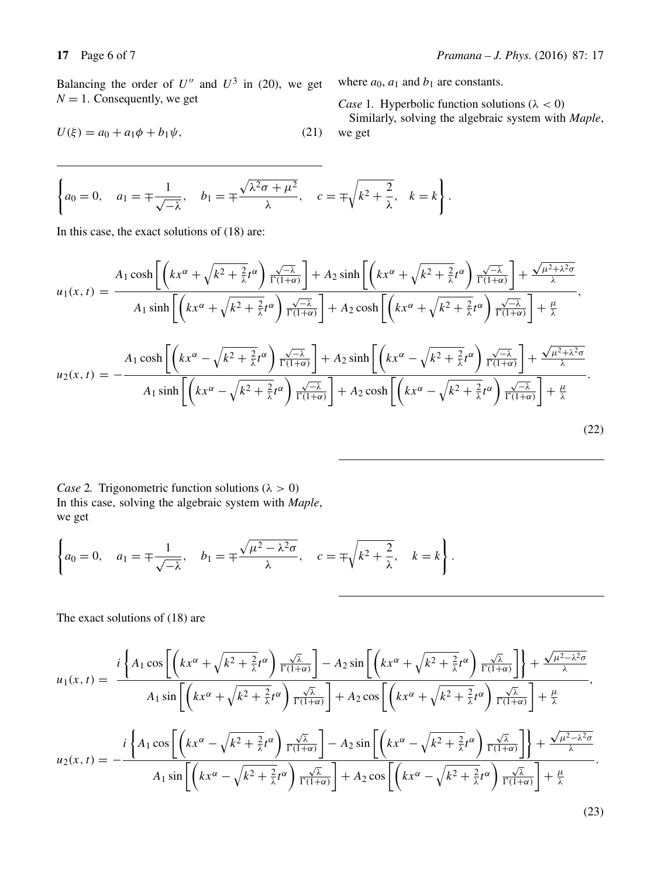Balancing the order of  $U''$  and  $U^3$  in (20), we get  $N = 1$ . Consequently, we get

$$
U(\xi) = a_0 + a_1 \phi + b_1 \psi,
$$
 (21)

where  $a_0$ ,  $a_1$  and  $b_1$  are constants.

*Case* 1. Hyperbolic function solutions ( $\lambda < 0$ )

Similarly, solving the algebraic system with *Maple*, we get

$$
\left\{a_0=0, \quad a_1=\pm\frac{1}{\sqrt{-\lambda}}, \quad b_1=\pm\frac{\sqrt{\lambda^2\sigma+\mu^2}}{\lambda}, \quad c=\pm\sqrt{k^2+\frac{2}{\lambda}}, \quad k=k\right\}.
$$

In this case, the exact solutions of (18) are:

$$
u_{1}(x,t) = \frac{A_{1}\cosh\left[\left(kx^{\alpha} + \sqrt{k^{2} + \frac{2}{\lambda}}t^{\alpha}\right)\frac{\sqrt{-\lambda}}{\Gamma(1+\alpha)}\right] + A_{2}\sinh\left[\left(kx^{\alpha} + \sqrt{k^{2} + \frac{2}{\lambda}}t^{\alpha}\right)\frac{\sqrt{-\lambda}}{\Gamma(1+\alpha)}\right] + \frac{\sqrt{\mu^{2} + \lambda^{2}\sigma}}{\lambda}}{A_{1}\sinh\left[\left(kx^{\alpha} + \sqrt{k^{2} + \frac{2}{\lambda}}t^{\alpha}\right)\frac{\sqrt{-\lambda}}{\Gamma(1+\alpha)}\right] + A_{2}\cosh\left[\left(kx^{\alpha} + \sqrt{k^{2} + \frac{2}{\lambda}}t^{\alpha}\right)\frac{\sqrt{-\lambda}}{\Gamma(1+\alpha)}\right] + \frac{\mu}{\lambda}}
$$
\n
$$
u_{2}(x,t) = -\frac{A_{1}\cosh\left[\left(kx^{\alpha} - \sqrt{k^{2} + \frac{2}{\lambda}}t^{\alpha}\right)\frac{\sqrt{-\lambda}}{\Gamma(1+\alpha)}\right] + A_{2}\sinh\left[\left(kx^{\alpha} - \sqrt{k^{2} + \frac{2}{\lambda}}t^{\alpha}\right)\frac{\sqrt{-\lambda}}{\Gamma(1+\alpha)}\right] + \frac{\sqrt{\mu^{2} + \lambda^{2}\sigma}}{\lambda}}{A_{1}\sinh\left[\left(kx^{\alpha} - \sqrt{k^{2} + \frac{2}{\lambda}}t^{\alpha}\right)\frac{\sqrt{-\lambda}}{\Gamma(1+\alpha)}\right] + A_{2}\cosh\left[\left(kx^{\alpha} - \sqrt{k^{2} + \frac{2}{\lambda}}t^{\alpha}\right)\frac{\sqrt{-\lambda}}{\Gamma(1+\alpha)}\right] + \frac{\mu}{\lambda}}.
$$
\n(22)

*Case* 2. Trigonometric function solutions ( $\lambda > 0$ ) In this case, solving the algebraic system with *Maple*, we get

$$
\left\{a_0=0, \quad a_1=\pm\frac{1}{\sqrt{-\lambda}}, \quad b_1=\pm\frac{\sqrt{\mu^2-\lambda^2\sigma}}{\lambda}, \quad c=\pm\sqrt{k^2+\frac{2}{\lambda}}, \quad k=k\right\}.
$$

The exact solutions of (18) are

$$
u_{1}(x,t) = \frac{i\left\{A_{1}\cos\left[\left(kx^{\alpha}+\sqrt{k^{2}+\frac{2}{\lambda}}t^{\alpha}\right)\frac{\sqrt{\lambda}}{\Gamma(1+\alpha)}\right]-A_{2}\sin\left[\left(kx^{\alpha}+\sqrt{k^{2}+\frac{2}{\lambda}}t^{\alpha}\right)\frac{\sqrt{\lambda}}{\Gamma(1+\alpha)}\right]\right]+\frac{\sqrt{\mu^{2}-\lambda^{2}\sigma}}{\lambda}}{A_{1}\sin\left[\left(kx^{\alpha}+\sqrt{k^{2}+\frac{2}{\lambda}}t^{\alpha}\right)\frac{\sqrt{\lambda}}{\Gamma(1+\alpha)}\right]+A_{2}\cos\left[\left(kx^{\alpha}+\sqrt{k^{2}+\frac{2}{\lambda}}t^{\alpha}\right)\frac{\sqrt{\lambda}}{\Gamma(1+\alpha)}\right]+\frac{\mu}{\lambda}}},
$$
  

$$
u_{2}(x,t) = -\frac{i\left\{A_{1}\cos\left[\left(kx^{\alpha}-\sqrt{k^{2}+\frac{2}{\lambda}}t^{\alpha}\right)\frac{\sqrt{\lambda}}{\Gamma(1+\alpha)}\right]-A_{2}\sin\left[\left(kx^{\alpha}-\sqrt{k^{2}+\frac{2}{\lambda}}t^{\alpha}\right)\frac{\sqrt{\lambda}}{\Gamma(1+\alpha)}\right]\right]+\frac{\sqrt{\mu^{2}-\lambda^{2}\sigma}}{\lambda}}{A_{1}\sin\left[\left(kx^{\alpha}-\sqrt{k^{2}+\frac{2}{\lambda}}t^{\alpha}\right)\frac{\sqrt{\lambda}}{\Gamma(1+\alpha)}\right]+A_{2}\cos\left[\left(kx^{\alpha}-\sqrt{k^{2}+\frac{2}{\lambda}}t^{\alpha}\right)\frac{\sqrt{\lambda}}{\Gamma(1+\alpha)}\right]+\frac{\mu}{\lambda}}.
$$
  
(23)